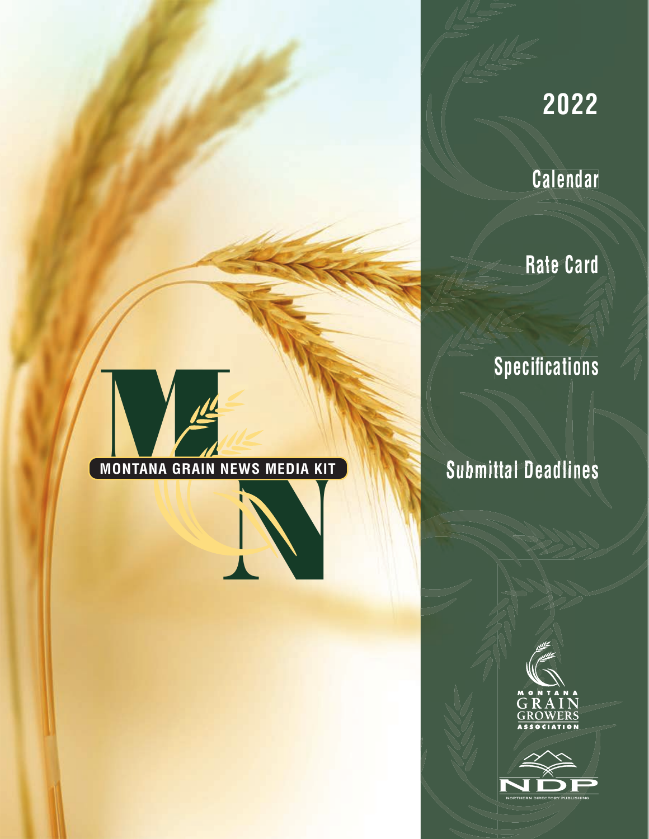# **2022**

**Calendar**

**Rate Card**

## **Specifications**

## **Submittal Deadlines**

MONTANA GRAIN NEWS MEDIA KIT



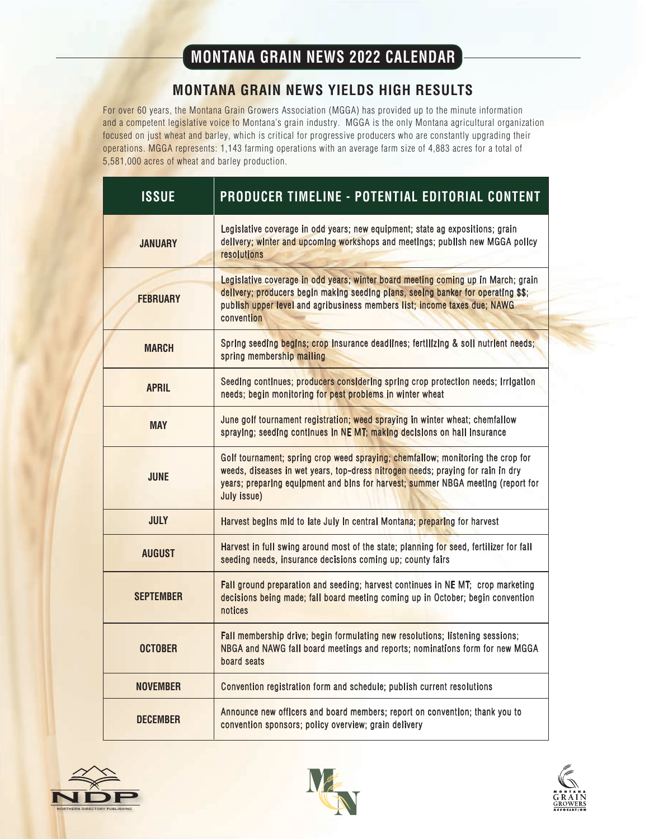## **MONTANA GRAIN NEWS 2022 CALENDAR**

### **MONTANA GRAIN NEWS YIELDS HIGH RESULTS**

For over 60 years, the Montana Grain Growers Association (MGGA) has provided up to the minute information and a competent legislative voice to Montana's grain industry. MGGA is the only Montana agricultural organization focused on just wheat and barley, which is critical for progressive producers who are constantly upgrading their operations. MGGA represents: 1,143 farming operations with an average farm size of 4,883 acres for a total of 5,581,000 acres of wheat and barley production.

| <b>ISSUE</b>     | <b>PRODUCER TIMELINE - POTENTIAL EDITORIAL CONTENT</b>                                                                                                                                                                                                                |  |
|------------------|-----------------------------------------------------------------------------------------------------------------------------------------------------------------------------------------------------------------------------------------------------------------------|--|
| <b>JANUARY</b>   | Legislative coverage in odd years; new equipment; state ag expositions; grain<br>delivery; winter and upcoming workshops and meetings; publish new MGGA policy<br>resolutions                                                                                         |  |
| <b>FEBRUARY</b>  | Legislative coverage in odd years; winter board meeting coming up in March; grain<br>delivery; producers begin making seeding plans, seeing banker for operating \$\$;<br>publish upper level and agribusiness members list; income taxes due; NAWG<br>convention     |  |
| <b>MARCH</b>     | Spring seeding begins; crop insurance deadlines; fertilizing & soil nutrient needs;<br>spring membership mailing                                                                                                                                                      |  |
| <b>APRIL</b>     | Seeding continues; producers considering spring crop protection needs; irrigation<br>needs; begin monitoring for pest problems in winter wheat                                                                                                                        |  |
| <b>MAY</b>       | June golf tournament registration; weed spraying in winter wheat; chemfallow<br>spraying; seeding continues in NE MT; making decisions on hail insurance                                                                                                              |  |
| <b>JUNE</b>      | Golf tournament; spring crop weed spraying; chemfallow; monitoring the crop for<br>weeds, diseases in wet years, top-dress nitrogen needs; praying for rain in dry<br>years; preparing equipment and bins for harvest; summer NBGA meeting (report for<br>July issue) |  |
| <b>JULY</b>      | Harvest begins mid to late July in central Montana; preparing for harvest                                                                                                                                                                                             |  |
| <b>AUGUST</b>    | Harvest in full swing around most of the state; planning for seed, fertilizer for fall<br>seeding needs, insurance decisions coming up; county fairs                                                                                                                  |  |
| <b>SEPTEMBER</b> | Fall ground preparation and seeding; harvest continues in NE MT; crop marketing<br>decisions being made; fall board meeting coming up in October; begin convention<br>notices                                                                                         |  |
| <b>OCTOBER</b>   | Fall membership drive; begin formulating new resolutions; listening sessions;<br>NBGA and NAWG fall board meetings and reports; nominations form for new MGGA<br>board seats                                                                                          |  |
| <b>NOVEMBER</b>  | Convention registration form and schedule; publish current resolutions                                                                                                                                                                                                |  |
| <b>DECEMBER</b>  | Announce new officers and board members; report on convention; thank you to<br>convention sponsors; policy overview; grain delivery                                                                                                                                   |  |





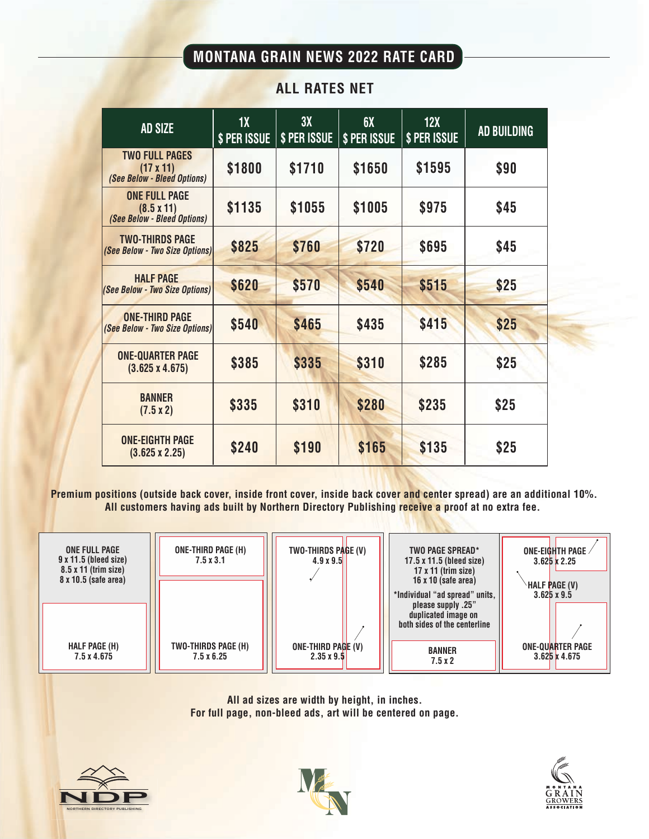## **MONTANA GRAIN NEWS 2022 RATE CARD**

| <b>AD SIZE</b>                                                           | 1X<br>\$ PER ISSUE | 3X<br>\$ PER ISSUE | 6X<br>\$ PER ISSUE | 12X<br>\$ PER ISSUE | AD BUILDING |
|--------------------------------------------------------------------------|--------------------|--------------------|--------------------|---------------------|-------------|
| <b>TWO FULL PAGES</b><br>$(17 \times 11)$<br>(See Below - Bleed Options) | \$1800             | \$1710             | \$1650             | \$1595              | \$90        |
| <b>ONE FULL PAGE</b><br>$(8.5 \times 11)$<br>(See Below - Bleed Options) | \$1135             | \$1055             | \$1005             | \$975               | \$45        |
| <b>TWO-THIRDS PAGE</b><br>(See Below - Two Size Options)                 | \$825              | \$760              | \$720              | \$695               | \$45        |
| <b>HALF PAGE</b><br>(See Below - Two Size Options)                       | \$620              | \$570              | \$540              | \$515               | \$25        |
| <b>ONE-THIRD PAGE</b><br>(See Below - Two Size Options)                  | \$540              | \$465              | \$435              | \$415               | \$25        |
| <b>ONE-QUARTER PAGE</b><br>$(3.625 \times 4.675)$                        | \$385              | \$335              | \$310              | \$285               | \$25        |
| <b>BANNER</b><br>$(7.5 \times 2)$                                        | \$335              | \$310              | \$280              | \$235               | \$25        |
| <b>ONE-EIGHTH PAGE</b><br>$(3.625 \times 2.25)$                          | \$240              | \$190              | \$165              | \$135               | \$25        |

### **ALL RATES NET**

**Premium positions (outside back cover, inside front cover, inside back cover and center spread) are an additional 10%. All customers having ads built by Northern Directory Publishing receive a proof at no extra fee.** 

| ONE FULL PAGE<br>$9x11.5$ (bleed size)<br>$8.5 \times 11$ (trim size)<br>8 x 10.5 (safe area) | ONE-THIRD PAGE (H)<br>$7.5 \times 3.1$   | TWO-THIRDS PAGE (V)<br>$4.9 \times 9.5$ | <b>TWO PAGE SPREAD*</b><br>$17.5 \times 11.5$ (bleed size)<br>17 $x$ 11 (trim size)<br>16 x 10 (safe area)  | ONE-EIGHTH PAGE<br>$3.625 \times 2.25$          |
|-----------------------------------------------------------------------------------------------|------------------------------------------|-----------------------------------------|-------------------------------------------------------------------------------------------------------------|-------------------------------------------------|
|                                                                                               |                                          |                                         | *Individual "ad spread" units,<br>please supply .25"<br>duplicated image on<br>both sides of the centerline | HALF PAGE (V)<br>$3.625 \times 9.5$             |
| <b>HALF PAGE (H)</b><br>7.5 x 4.675                                                           | TWO-THIRDS PAGE (H)<br>$7.5 \times 6.25$ | ONE-THIRD PAGE (V)<br>$2.35 \times 9.5$ | <b>BANNER</b><br>7.5x2                                                                                      | <b>ONE-QUARTER PAGE</b><br>$3.625 \times 4.675$ |

**All ad sizes are width by height, in inches. For full page, non-bleed ads, art will be centered on page.**





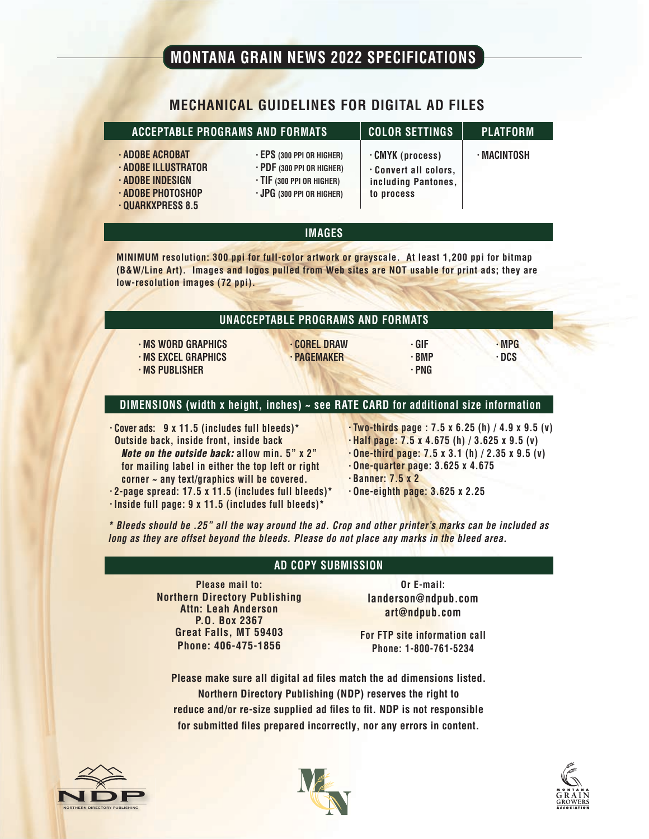## **MONTANA GRAIN NEWS 2022 SPECIFICATIONS**

#### **MECHANICAL GUIDELINES FOR DIGITAL AD FILES**

| <b>ACCEPTABLE PROGRAMS AND FORMATS</b>                                                                            |                                                                                                                                          | <b>COLOR SETTINGS</b>                                                        | <b>PLATFORM</b> |
|-------------------------------------------------------------------------------------------------------------------|------------------------------------------------------------------------------------------------------------------------------------------|------------------------------------------------------------------------------|-----------------|
| · ADOBE ACROBAT<br>· ADOBE ILLUSTRATOR<br>$\cdot$ ADOBE INDESIGN<br>· ADOBE PHOTOSHOP<br><b>· QUARKXPRESS 8.5</b> | $\cdot$ EPS (300 PPI OR HIGHER)<br>$\cdot$ PDF (300 PPI OR HIGHER)<br>$\cdot$ TIF (300 PPI OR HIGHER)<br>$\cdot$ JPG (300 PPI OR HIGHER) | CMYK (process)<br>. Convert all colors,<br>including Pantones,<br>to process | · MACINTOSH     |

#### **IMAGES**

**MINIMUM resolution: 300 ppi for full-color artwork or grayscale. At least 1,200 ppi for bitmap (B&W/Line Art). Images and logos pulled from Web sites are NOT usable for print ads; they are low-resolution images (72 ppi).**

|  |                       | $\cdot$ MS word graphics  |  |
|--|-----------------------|---------------------------|--|
|  |                       | $\cdot$ MS excel graphics |  |
|  | <b>· MS PUBLISHER</b> |                           |  |

**• COREL DRAW • PAGEMAKER**

**• MPG • DCS**

#### **DIMENSIONS (width x height, inches) ~ see RATE CARD for additional size information**

- **• Cover ads: 9 x 11.5 (includes full bleeds)\* Outside back, inside front, inside back** *Note on the outside back:* **allow min. 5" x 2" for mailing label in either the top left or right corner ~ any text/graphics will be covered. • 2-page spread: 17.5 x 11.5 (includes full bleeds)\* • Inside full page: 9 x 11.5 (includes full bleeds)\***
- **• Two-thirds page : 7.5 x 6.25 (h) / 4.9 x 9.5 (v)**
- **• Half page: 7.5 x 4.675 (h) / 3.625 x 9.5 (v)**
- **• One-third page: 7.5 x 3.1 (h) / 2.35 x 9.5 (v)**
- **• One-quarter page: 3.625 x 4.675**

**• GIF • BMP • PNG**

- **• Banner: 7.5 x 2**
- **• One-eighth page: 3.625 x 2.25**

*\* Bleeds should be .25" all the way around the ad. Crop and other printer's marks can be included as long as they are offset beyond the bleeds. Please do not place any marks in the bleed area.*

#### **AD COPY SUBMISSION**

**Please mail to: Northern Directory Publishing Attn: Leah Anderson P.O. Box 2367 Great Falls, MT 59403 Phone: 406-475-1856**

**Or E-mail: landerson@ndpub.com art@ndpub.com**

**For FTP site information call Phone: 1-800-761-5234**

**Please make sure all digital ad files match the ad dimensions listed. Northern Directory Publishing (NDP) reserves the right to reduce and/or re-size supplied ad files to fit. NDP is not responsible** for submitted files prepared incorrectly, nor any errors in content.